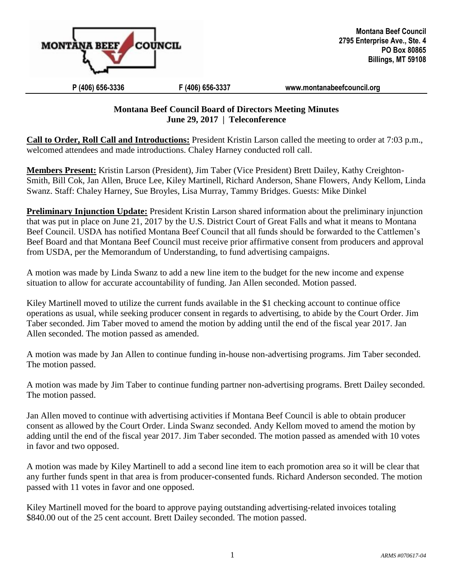

## **P (406) 656-3336 F (406) 656-3337 [www.montanabeefcouncil.org](http://www.montanabeefcouncil.org/)**

## **Montana Beef Council Board of Directors Meeting Minutes June 29, 2017 | Teleconference**

**Call to Order, Roll Call and Introductions:** President Kristin Larson called the meeting to order at 7:03 p.m., welcomed attendees and made introductions. Chaley Harney conducted roll call.

**Members Present:** Kristin Larson (President), Jim Taber (Vice President) Brett Dailey, Kathy Creighton-Smith, Bill Cok, Jan Allen, Bruce Lee, Kiley Martinell, Richard Anderson, Shane Flowers, Andy Kellom, Linda Swanz. Staff: Chaley Harney, Sue Broyles, Lisa Murray, Tammy Bridges. Guests: Mike Dinkel

**Preliminary Injunction Update:** President Kristin Larson shared information about the preliminary injunction that was put in place on June 21, 2017 by the U.S. District Court of Great Falls and what it means to Montana Beef Council. USDA has notified Montana Beef Council that all funds should be forwarded to the Cattlemen's Beef Board and that Montana Beef Council must receive prior affirmative consent from producers and approval from USDA, per the Memorandum of Understanding, to fund advertising campaigns.

A motion was made by Linda Swanz to add a new line item to the budget for the new income and expense situation to allow for accurate accountability of funding. Jan Allen seconded. Motion passed.

Kiley Martinell moved to utilize the current funds available in the \$1 checking account to continue office operations as usual, while seeking producer consent in regards to advertising, to abide by the Court Order. Jim Taber seconded. Jim Taber moved to amend the motion by adding until the end of the fiscal year 2017. Jan Allen seconded. The motion passed as amended.

A motion was made by Jan Allen to continue funding in-house non-advertising programs. Jim Taber seconded. The motion passed.

A motion was made by Jim Taber to continue funding partner non-advertising programs. Brett Dailey seconded. The motion passed.

Jan Allen moved to continue with advertising activities if Montana Beef Council is able to obtain producer consent as allowed by the Court Order. Linda Swanz seconded. Andy Kellom moved to amend the motion by adding until the end of the fiscal year 2017. Jim Taber seconded. The motion passed as amended with 10 votes in favor and two opposed.

A motion was made by Kiley Martinell to add a second line item to each promotion area so it will be clear that any further funds spent in that area is from producer-consented funds. Richard Anderson seconded. The motion passed with 11 votes in favor and one opposed.

Kiley Martinell moved for the board to approve paying outstanding advertising-related invoices totaling \$840.00 out of the 25 cent account. Brett Dailey seconded. The motion passed.